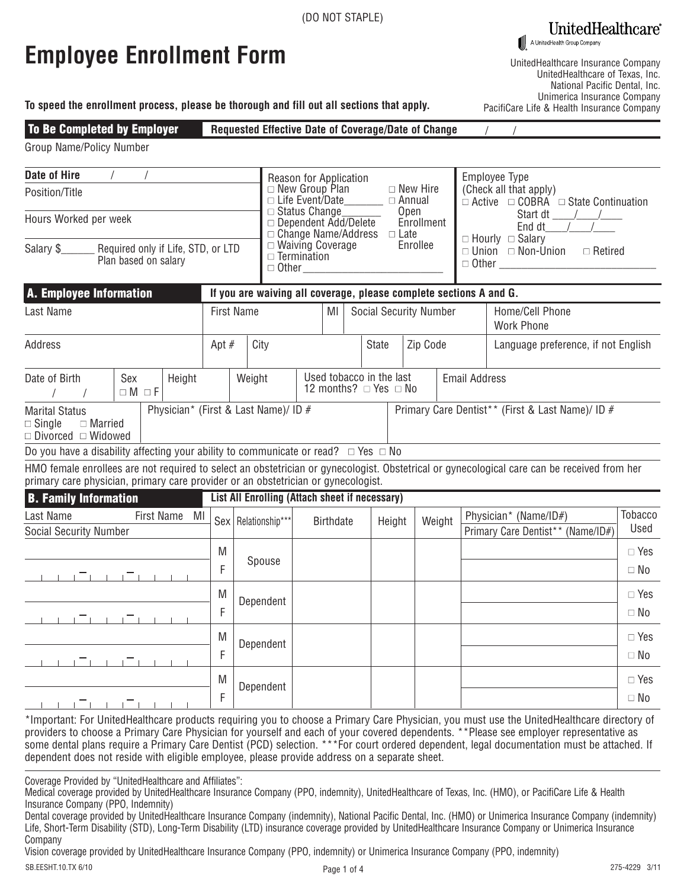UnitedHealthcare®

A UnitedHealth Group Company

|  | <b>Employee Enrollment Form</b> |  |
|--|---------------------------------|--|
|--|---------------------------------|--|

UnitedHealthcare Insurance Company UnitedHealthcare of Texas, Inc. National Pacific Dental, Inc. Unimerica Insurance Company PacifiCare Life & Health Insurance Company

|  | To speed the enrollment process, please be thorough and fill out all sections that apply. |  |
|--|-------------------------------------------------------------------------------------------|--|
|--|-------------------------------------------------------------------------------------------|--|

## Requested Effective Date of Coverage/Date of Change  $\frac{1}{2}$ To Be Completed by Employer

|  | Group Name/Policy Number |  |
|--|--------------------------|--|
|--|--------------------------|--|

| <b>Date of Hire</b><br>Position/Title                                                        |                        |                                                                                                         |        |                                                                    | Employee Type<br>Reason for Application<br>$\Box$ New Group Plan<br>(Check all that apply)<br>$\Box$ New Hire<br>$\Box$ Life Event/Date<br>$\Box$ Annual<br>$\Box$ Active $\Box$ COBRA $\Box$ State Continuation<br>$\Box$ Status Change<br>Open<br>Start dt /<br>$\Box$ Dependent Add/Delete<br>Enrollment<br>End dt $\qquad$ /<br>$\Box$ Change Name/Address<br>$\Box$ Late<br>$\Box$ Hourly $\Box$ Salary<br>$\Box$ Waiving Coverage<br>Enrollee<br>$\Box$ Union $\Box$ Non-Union $\Box$ Retired<br>$\Box$ Termination<br>$\Box$ Other |  |                  |  |              |        |                               |  |  |                                                                                                                                             |                            |
|----------------------------------------------------------------------------------------------|------------------------|---------------------------------------------------------------------------------------------------------|--------|--------------------------------------------------------------------|-------------------------------------------------------------------------------------------------------------------------------------------------------------------------------------------------------------------------------------------------------------------------------------------------------------------------------------------------------------------------------------------------------------------------------------------------------------------------------------------------------------------------------------------|--|------------------|--|--------------|--------|-------------------------------|--|--|---------------------------------------------------------------------------------------------------------------------------------------------|----------------------------|
| Hours Worked per week                                                                        |                        |                                                                                                         |        |                                                                    |                                                                                                                                                                                                                                                                                                                                                                                                                                                                                                                                           |  |                  |  |              |        |                               |  |  |                                                                                                                                             |                            |
| Salary \$<br>Required only if Life, STD, or LTD<br>Plan based on salary                      |                        |                                                                                                         |        |                                                                    |                                                                                                                                                                                                                                                                                                                                                                                                                                                                                                                                           |  |                  |  |              |        |                               |  |  |                                                                                                                                             |                            |
| <b>A. Employee Information</b>                                                               |                        |                                                                                                         |        | If you are waiving all coverage, please complete sections A and G. |                                                                                                                                                                                                                                                                                                                                                                                                                                                                                                                                           |  |                  |  |              |        |                               |  |  |                                                                                                                                             |                            |
| Last Name                                                                                    |                        |                                                                                                         |        | <b>First Name</b>                                                  |                                                                                                                                                                                                                                                                                                                                                                                                                                                                                                                                           |  | ΜI               |  |              |        | <b>Social Security Number</b> |  |  | Home/Cell Phone<br><b>Work Phone</b>                                                                                                        |                            |
| <b>Address</b>                                                                               | Apt $#$                |                                                                                                         |        | City                                                               |                                                                                                                                                                                                                                                                                                                                                                                                                                                                                                                                           |  |                  |  | <b>State</b> |        | Zip Code                      |  |  | Language preference, if not English                                                                                                         |                            |
| Date of Birth                                                                                | Sex<br>$\Box M \Box F$ | Used tobacco in the last<br>Weight<br><b>Email Address</b><br>Height<br>12 months? $\Box$ Yes $\Box$ No |        |                                                                    |                                                                                                                                                                                                                                                                                                                                                                                                                                                                                                                                           |  |                  |  |              |        |                               |  |  |                                                                                                                                             |                            |
| <b>Marital Status</b><br>$\Box$ Single<br>$\Box$ Married<br>$\Box$ Divorced $\Box$ Widowed   |                        | Physician* (First & Last Name)/ ID #                                                                    |        |                                                                    |                                                                                                                                                                                                                                                                                                                                                                                                                                                                                                                                           |  |                  |  |              |        |                               |  |  | Primary Care Dentist** (First & Last Name)/ ID #                                                                                            |                            |
| Do you have a disability affecting your ability to communicate or read? $\Box$ Yes $\Box$ No |                        |                                                                                                         |        |                                                                    |                                                                                                                                                                                                                                                                                                                                                                                                                                                                                                                                           |  |                  |  |              |        |                               |  |  |                                                                                                                                             |                            |
| primary care physician, primary care provider or an obstetrician or gynecologist.            |                        |                                                                                                         |        |                                                                    |                                                                                                                                                                                                                                                                                                                                                                                                                                                                                                                                           |  |                  |  |              |        |                               |  |  | HMO female enrollees are not required to select an obstetrician or gynecologist. Obstetrical or gynecological care can be received from her |                            |
| <b>B. Family Information</b>                                                                 |                        |                                                                                                         |        | List All Enrolling (Attach sheet if necessary)                     |                                                                                                                                                                                                                                                                                                                                                                                                                                                                                                                                           |  |                  |  |              |        |                               |  |  |                                                                                                                                             |                            |
| Last Name<br><b>Social Security Number</b>                                                   |                        | First Name<br>MI                                                                                        |        | Sex   Relationship***                                              |                                                                                                                                                                                                                                                                                                                                                                                                                                                                                                                                           |  | <b>Birthdate</b> |  |              | Height | Weight                        |  |  | Physician* (Name/ID#)<br>Primary Care Dentist** (Name/ID#)                                                                                  | Tobacco<br>Used            |
|                                                                                              |                        |                                                                                                         | M<br>F | Spouse                                                             |                                                                                                                                                                                                                                                                                                                                                                                                                                                                                                                                           |  |                  |  |              |        |                               |  |  |                                                                                                                                             | $\Box$ Yes<br>$\Box$ No    |
| - 1 - 1 - 1 - 1 - 1 - 1 - 1 - 1                                                              |                        |                                                                                                         | M<br>F | Dependent                                                          |                                                                                                                                                                                                                                                                                                                                                                                                                                                                                                                                           |  |                  |  |              |        |                               |  |  |                                                                                                                                             | $\Box$ Yes<br>$\Box$ No    |
|                                                                                              |                        |                                                                                                         | M<br>F | Dependent                                                          |                                                                                                                                                                                                                                                                                                                                                                                                                                                                                                                                           |  |                  |  |              |        |                               |  |  |                                                                                                                                             | $\Box$ Yes<br>$\square$ No |
| 1 1 1 1 1 1 1 1 1 1 1                                                                        |                        |                                                                                                         | M<br>F | Dependent                                                          |                                                                                                                                                                                                                                                                                                                                                                                                                                                                                                                                           |  |                  |  |              |        |                               |  |  |                                                                                                                                             | $\Box$ Yes<br>$\Box$ No    |

\*Important: For UnitedHealthcare products requiring you to choose a Primary Care Physician, you must use the UnitedHealthcare directory of providers to choose a Primary Care Physician for yourself and each of your covered dependents. \*\*Please see employer representative as some dental plans require a Primary Care Dentist (PCD) selection. \*\*\*For court ordered dependent, legal documentation must be attached. If dependent does not reside with eligible employee, please provide address on a separate sheet.

Coverage Provided by "UnitedHealthcare and Affiliates":

Medical coverage provided by UnitedHealthcare Insurance Company (PPO, indemnity), UnitedHealthcare of Texas, Inc. (HMO), or PacifiCare Life & Health Insurance Company (PPO, Indemnity)

Dental coverage provided by UnitedHealthcare Insurance Company (indemnity), National Pacific Dental, Inc. (HMO) or Unimerica Insurance Company (indemnity) Life, Short-Term Disability (STD), Long-Term Disability (LTD) insurance coverage provided by UnitedHealthcare Insurance Company or Unimerica Insurance Company

Vision coverage provided by UnitedHealthcare Insurance Company (PPO, indemnity) or Unimerica Insurance Company (PPO, indemnity)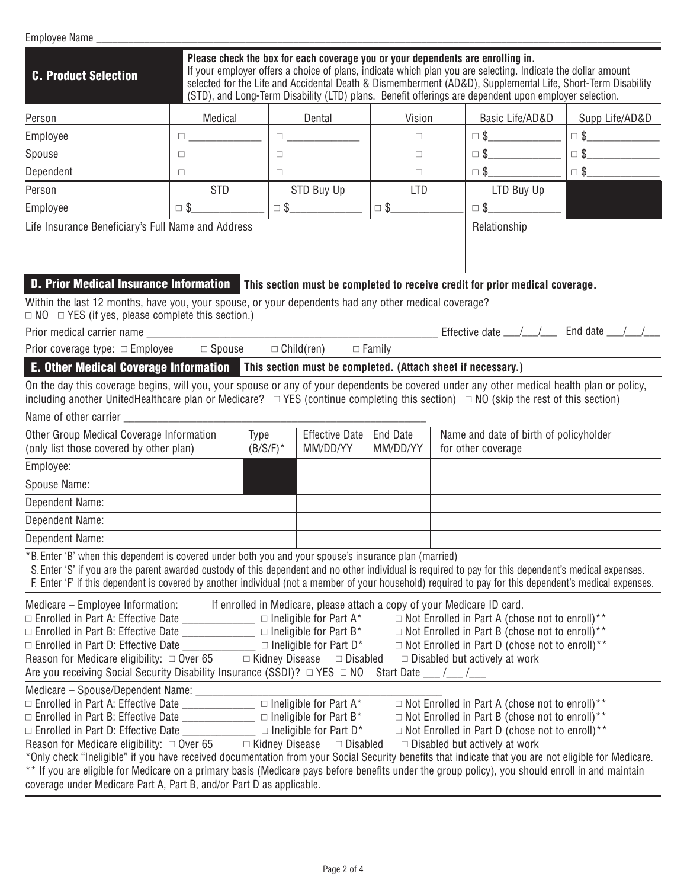| Employee Name _                                                                                                                                                                                                                                                                                                                                                                                                                                                                                                                                                        |                                                                                 |             |                                         |                                 |                                                                                                                                                                                                                                                                                                                                      |                |
|------------------------------------------------------------------------------------------------------------------------------------------------------------------------------------------------------------------------------------------------------------------------------------------------------------------------------------------------------------------------------------------------------------------------------------------------------------------------------------------------------------------------------------------------------------------------|---------------------------------------------------------------------------------|-------------|-----------------------------------------|---------------------------------|--------------------------------------------------------------------------------------------------------------------------------------------------------------------------------------------------------------------------------------------------------------------------------------------------------------------------------------|----------------|
| <b>C. Product Selection</b>                                                                                                                                                                                                                                                                                                                                                                                                                                                                                                                                            | Please check the box for each coverage you or your dependents are enrolling in. |             |                                         |                                 | If your employer offers a choice of plans, indicate which plan you are selecting. Indicate the dollar amount<br>selected for the Life and Accidental Death & Dismemberment (AD&D), Supplemental Life, Short-Term Disability<br>(STD), and Long-Term Disability (LTD) plans. Benefit offerings are dependent upon employer selection. |                |
| Person                                                                                                                                                                                                                                                                                                                                                                                                                                                                                                                                                                 | Medical                                                                         |             | Dental                                  | Vision                          | Basic Life/AD&D                                                                                                                                                                                                                                                                                                                      | Supp Life/AD&D |
| Employee                                                                                                                                                                                                                                                                                                                                                                                                                                                                                                                                                               | $\Box$ and $\Box$ and $\Box$ and $\Box$                                         |             | $\Box$ and $\Box$ and $\Box$ and $\Box$ | $\Box$                          | $\Box \$                                                                                                                                                                                                                                                                                                                             | $\Box$ \$      |
| Spouse                                                                                                                                                                                                                                                                                                                                                                                                                                                                                                                                                                 | $\Box$                                                                          | $\Box$      |                                         | $\Box$                          | $\Box$ \$                                                                                                                                                                                                                                                                                                                            | $\Box$ \$      |
| Dependent                                                                                                                                                                                                                                                                                                                                                                                                                                                                                                                                                              | $\Box$                                                                          | $\Box$      |                                         | $\Box$                          | $\Box$ \$                                                                                                                                                                                                                                                                                                                            | $\Box$ \$      |
| Person                                                                                                                                                                                                                                                                                                                                                                                                                                                                                                                                                                 | <b>STD</b>                                                                      |             | STD Buy Up                              | <b>LTD</b>                      | LTD Buy Up                                                                                                                                                                                                                                                                                                                           |                |
| Employee                                                                                                                                                                                                                                                                                                                                                                                                                                                                                                                                                               | $\Box$ \$                                                                       |             | $\Box$ \$                               | $\square$ \$                    | $\Box$ \$                                                                                                                                                                                                                                                                                                                            |                |
| Life Insurance Beneficiary's Full Name and Address                                                                                                                                                                                                                                                                                                                                                                                                                                                                                                                     |                                                                                 |             |                                         |                                 | Relationship                                                                                                                                                                                                                                                                                                                         |                |
| <b>D. Prior Medical Insurance Information</b> This section must be completed to receive credit for prior medical coverage.                                                                                                                                                                                                                                                                                                                                                                                                                                             |                                                                                 |             |                                         |                                 |                                                                                                                                                                                                                                                                                                                                      |                |
| Within the last 12 months, have you, your spouse, or your dependents had any other medical coverage?<br>$\Box$ NO $\Box$ YES (if yes, please complete this section.)                                                                                                                                                                                                                                                                                                                                                                                                   |                                                                                 |             |                                         |                                 |                                                                                                                                                                                                                                                                                                                                      |                |
| Prior medical carrier name substantial control of the state of the state of the state of the state of the state of the state of the state of the state of the state of the state of the state of the state of the state of the                                                                                                                                                                                                                                                                                                                                         |                                                                                 |             |                                         |                                 | Effective date __/ _/ __ End date __/ _/                                                                                                                                                                                                                                                                                             |                |
| Prior coverage type: □ Employee<br><b>E. Other Medical Coverage Information</b> This section must be completed. (Attach sheet if necessary.)                                                                                                                                                                                                                                                                                                                                                                                                                           | $\Box$ Spouse                                                                   |             | $\Box$ Child(ren)                       | $\Box$ Family                   |                                                                                                                                                                                                                                                                                                                                      |                |
| On the day this coverage begins, will you, your spouse or any of your dependents be covered under any other medical health plan or policy,<br>including another UnitedHealthcare plan or Medicare? $\Box$ YES (continue completing this section) $\Box$ NO (skip the rest of this section)<br>Name of other carrier _                                                                                                                                                                                                                                                  |                                                                                 |             |                                         |                                 |                                                                                                                                                                                                                                                                                                                                      |                |
| Other Group Medical Coverage Information<br>(only list those covered by other plan)                                                                                                                                                                                                                                                                                                                                                                                                                                                                                    | Type                                                                            | $(B/S/F)^*$ | <b>Effective Date</b><br>MM/DD/YY       | <b>End Date</b><br>MM/DD/YY     | Name and date of birth of policyholder<br>for other coverage                                                                                                                                                                                                                                                                         |                |
| Employee:                                                                                                                                                                                                                                                                                                                                                                                                                                                                                                                                                              |                                                                                 |             |                                         |                                 |                                                                                                                                                                                                                                                                                                                                      |                |
| Spouse Name:                                                                                                                                                                                                                                                                                                                                                                                                                                                                                                                                                           |                                                                                 |             |                                         |                                 |                                                                                                                                                                                                                                                                                                                                      |                |
| Dependent Name:<br>Dependent Name:                                                                                                                                                                                                                                                                                                                                                                                                                                                                                                                                     |                                                                                 |             |                                         |                                 |                                                                                                                                                                                                                                                                                                                                      |                |
| Dependent Name:                                                                                                                                                                                                                                                                                                                                                                                                                                                                                                                                                        |                                                                                 |             |                                         |                                 |                                                                                                                                                                                                                                                                                                                                      |                |
| *B. Enter 'B' when this dependent is covered under both you and your spouse's insurance plan (married)<br>S. Enter 'S' if you are the parent awarded custody of this dependent and no other individual is required to pay for this dependent's medical expenses.<br>F. Enter 'F' if this dependent is covered by another individual (not a member of your household) required to pay for this dependent's medical expenses.                                                                                                                                            |                                                                                 |             |                                         |                                 |                                                                                                                                                                                                                                                                                                                                      |                |
| Medicare – Employee Information: If enrolled in Medicare, please attach a copy of your Medicare ID card.<br>Reason for Medicare eligibility: $\Box$ Over 65 $\Box$ Kidney Disease $\Box$ Disabled<br>Are you receiving Social Security Disability Insurance (SSDI)? □ YES □ NO                                                                                                                                                                                                                                                                                         |                                                                                 |             |                                         | Start Date $\frac{1}{\sqrt{2}}$ | $\Box$ Not Enrolled in Part A (chose not to enroll)**<br>$\Box$ Not Enrolled in Part B (chose not to enroll)**<br>$\Box$ Not Enrolled in Part D (chose not to enroll)**<br>$\Box$ Disabled but actively at work                                                                                                                      |                |
| $\Box$ Enrolled in Part D: Effective Date _________________ $\Box$ Ineligible for Part D*<br>Reason for Medicare eligibility: $\Box$ Over 65 $\Box$ Kidney Disease $\Box$ Disabled<br>*Only check "Ineligible" if you have received documentation from your Social Security benefits that indicate that you are not eligible for Medicare.<br>** If you are eligible for Medicare on a primary basis (Medicare pays before benefits under the group policy), you should enroll in and maintain<br>coverage under Medicare Part A, Part B, and/or Part D as applicable. |                                                                                 |             |                                         |                                 | □ Not Enrolled in Part A (chose not to enroll)**<br>$\Box$ Not Enrolled in Part B (chose not to enroll)**<br>$\Box$ Not Enrolled in Part D (chose not to enroll)**<br>$\Box$ Disabled but actively at work                                                                                                                           |                |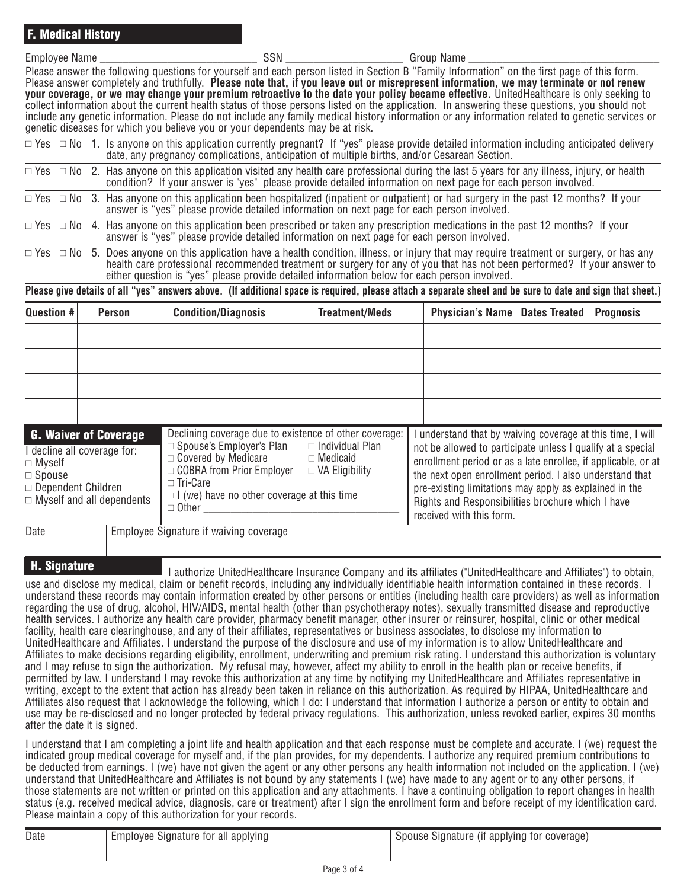| $\sim$<br>$-m1$<br>Name<br>"IVEt.<br>.<br>---- | SSN | - Name<br>הווח״ <sup>.</sup> |
|------------------------------------------------|-----|------------------------------|
|                                                |     |                              |

Please answer the following questions for yourself and each person listed in Section B "Family Information" on the first page of this form. Please answer completely and truthfully. **Please note that, if you leave out or misrepresent information, we may terminate or not renew your coverage, or we may change your premium retroactive to the date your policy became effective.** UnitedHealthcare is only seeking to collect information about the current health status of those persons listed on the application. In answering these questions, you should not include any genetic information. Please do not include any family medical history information or any information related to genetic services or genetic diseases for which you believe you or your dependents may be at risk.

|  | $\Box$ Yes $\Box$ No 1. Is anyone on this application currently pregnant? If "yes" please provide detailed information including anticipated delivery<br>date, any pregnancy complications, anticipation of multiple births, and/or Cesarean Section.                   |
|--|-------------------------------------------------------------------------------------------------------------------------------------------------------------------------------------------------------------------------------------------------------------------------|
|  | $\Box$ Yes $\Box$ No 2. Has anyone on this application visited any health care professional during the last 5 years for any illness, injury, or health<br>condition? If your answer is "yes" please provide detailed information on next page for each person involved. |
|  | $\Box$ Yes $\Box$ No 3. Has anyone on this application been hospitalized (inpatient or outpatient) or had surgery in the past 12 months? If your<br>answer is "yes" please provide detailed information on next page for each person involved.                          |

 $\Box$  Yes  $\Box$  No 4. Has anyone on this application been prescribed or taken any prescription medications in the past 12 months? If your answer is "yes" please provide detailed information on next page for each person involved.

 $\Box$  Yes  $\Box$  No 5. Does anyone on this application have a health condition, illness, or injury that may require treatment or surgery, or has any health care professional recommended treatment or surgery for any of you that has not been performed? If your answer to either question is "yes" please provide detailed information below for each person involved.

**Please give details of all "yes" answers above. (If additional space is required, please attach a separate sheet and be sure to date and sign that sheet.)**

| <b>Question #</b>                                           | <b>Person</b>                                                                                 | <b>Condition/Diagnosis</b>                                                                                                                                                                                                                | <b>Treatment/Meds</b>                                              | <b>Physician's Name</b>                                                                                                                                                                                                                                                                                                                                                                        | <b>Dates Treated</b> | <b>Prognosis</b> |
|-------------------------------------------------------------|-----------------------------------------------------------------------------------------------|-------------------------------------------------------------------------------------------------------------------------------------------------------------------------------------------------------------------------------------------|--------------------------------------------------------------------|------------------------------------------------------------------------------------------------------------------------------------------------------------------------------------------------------------------------------------------------------------------------------------------------------------------------------------------------------------------------------------------------|----------------------|------------------|
|                                                             |                                                                                               |                                                                                                                                                                                                                                           |                                                                    |                                                                                                                                                                                                                                                                                                                                                                                                |                      |                  |
|                                                             |                                                                                               |                                                                                                                                                                                                                                           |                                                                    |                                                                                                                                                                                                                                                                                                                                                                                                |                      |                  |
|                                                             |                                                                                               |                                                                                                                                                                                                                                           |                                                                    |                                                                                                                                                                                                                                                                                                                                                                                                |                      |                  |
|                                                             |                                                                                               |                                                                                                                                                                                                                                           |                                                                    |                                                                                                                                                                                                                                                                                                                                                                                                |                      |                  |
| $\Box$ Myself<br>$\Box$ Spouse<br>$\Box$ Dependent Children | <b>G. Waiver of Coverage</b><br>decline all coverage for:<br>$\Box$ Myself and all dependents | Declining coverage due to existence of other coverage:<br>□ Spouse's Employer's Plan<br>$\Box$ Covered by Medicare<br>$\Box$ COBRA from Prior Employer<br>□ Tri-Care<br>$\Box$ I (we) have no other coverage at this time<br>$\Box$ Other | $\Box$ Individual Plan<br>$\Box$ Medicaid<br>$\Box$ VA Eligibility | understand that by waiving coverage at this time, I will<br>not be allowed to participate unless I qualify at a special<br>enrollment period or as a late enrollee, if applicable, or at<br>the next open enrollment period. I also understand that<br>pre-existing limitations may apply as explained in the<br>Rights and Responsibilities brochure which I have<br>received with this form. |                      |                  |

Date | Employee Signature if waiving coverage

## H. Signature

I authorize UnitedHealthcare Insurance Company and its affiliates ("UnitedHealthcare and Affiliates") to obtain, use and disclose my medical, claim or benefit records, including any individually identifiable health information contained in these records. I understand these records may contain information created by other persons or entities (including health care providers) as well as information regarding the use of drug, alcohol, HIV/AIDS, mental health (other than psychotherapy notes), sexually transmitted disease and reproductive health services. I authorize any health care provider, pharmacy benefit manager, other insurer or reinsurer, hospital, clinic or other medical facility, health care clearinghouse, and any of their affiliates, representatives or business associates, to disclose my information to UnitedHealthcare and Affiliates. I understand the purpose of the disclosure and use of my information is to allow UnitedHealthcare and Affiliates to make decisions regarding eligibility, enrollment, underwriting and premium risk rating. I understand this authorization is voluntary and I may refuse to sign the authorization. My refusal may, however, affect my ability to enroll in the health plan or receive benefits, if permitted by law. I understand I may revoke this authorization at any time by notifying my UnitedHealthcare and Affiliates representative in writing, except to the extent that action has already been taken in reliance on this authorization. As required by HIPAA, UnitedHealthcare and Affiliates also request that I acknowledge the following, which I do: I understand that information I authorize a person or entity to obtain and use may be re-disclosed and no longer protected by federal privacy regulations. This authorization, unless revoked earlier, expires 30 months after the date it is signed.

I understand that I am completing a joint life and health application and that each response must be complete and accurate. I (we) request the indicated group medical coverage for myself and, if the plan provides, for my dependents. I authorize any required premium contributions to be deducted from earnings. I (we) have not given the agent or any other persons any health information not included on the application. I (we) understand that UnitedHealthcare and Affiliates is not bound by any statements I (we) have made to any agent or to any other persons, if those statements are not written or printed on this application and any attachments. I have a continuing obligation to report changes in health status (e.g. received medical advice, diagnosis, care or treatment) after I sign the enrollment form and before receipt of my identification card. Please maintain a copy of this authorization for your records.

| Date | Employee Signature for all applying | Spouse Signature (if applying for coverage) |
|------|-------------------------------------|---------------------------------------------|
|      |                                     |                                             |